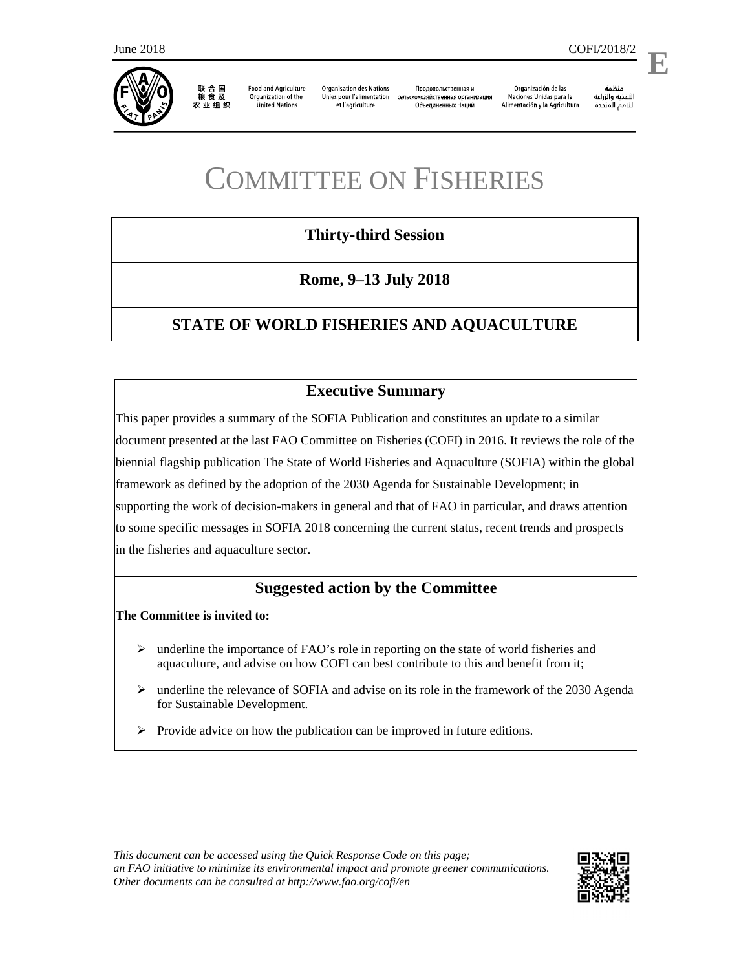

联合国 一粮食及<br>农业组织

**Food and Agriculture** Organization of the **United Nations** 

**Organisation des Nations** Unies pour l'alimentation et l'agriculture

Продовольственная и сельскохозяйственная организация Объединенных Наций

Organización de las Naciones Unidas para la Alimentación y la Agricultura

منظمة الأغذية والزراعة للأمم المتحدة

# **Thirty-third Session**

**Rome, 9–13 July 2018** 

# **STATE OF WORLD FISHERIES AND AQUACULTURE**

## **Executive Summary**

This paper provides a summary of the SOFIA Publication and constitutes an update to a similar document presented at the last FAO Committee on Fisheries (COFI) in 2016. It reviews the role of the biennial flagship publication The State of World Fisheries and Aquaculture (SOFIA) within the global framework as defined by the adoption of the 2030 Agenda for Sustainable Development; in supporting the work of decision-makers in general and that of FAO in particular, and draws attention to some specific messages in SOFIA 2018 concerning the current status, recent trends and prospects in the fisheries and aquaculture sector.

## **Suggested action by the Committee**

**The Committee is invited to:** 

- $\triangleright$  underline the importance of FAO's role in reporting on the state of world fisheries and aquaculture, and advise on how COFI can best contribute to this and benefit from it;
- $\triangleright$  underline the relevance of SOFIA and advise on its role in the framework of the 2030 Agenda for Sustainable Development.
- $\triangleright$  Provide advice on how the publication can be improved in future editions.

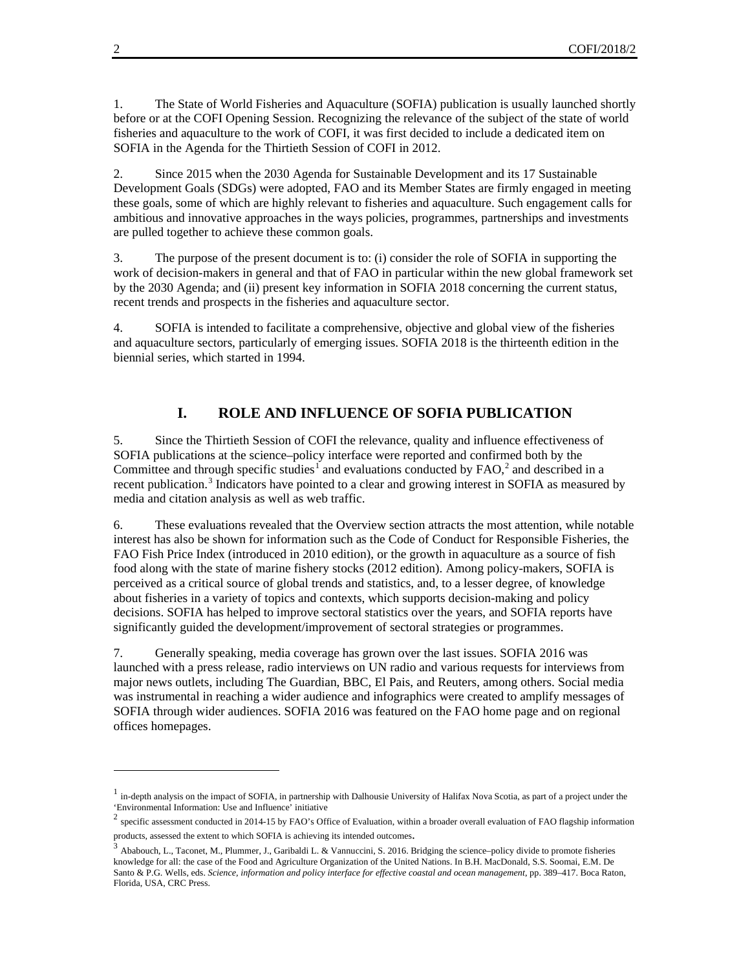1. The State of World Fisheries and Aquaculture (SOFIA) publication is usually launched shortly before or at the COFI Opening Session. Recognizing the relevance of the subject of the state of world fisheries and aquaculture to the work of COFI, it was first decided to include a dedicated item on SOFIA in the Agenda for the Thirtieth Session of COFI in 2012.

2. Since 2015 when the 2030 Agenda for Sustainable Development and its 17 Sustainable Development Goals (SDGs) were adopted, FAO and its Member States are firmly engaged in meeting these goals, some of which are highly relevant to fisheries and aquaculture. Such engagement calls for ambitious and innovative approaches in the ways policies, programmes, partnerships and investments are pulled together to achieve these common goals.

3. The purpose of the present document is to: (i) consider the role of SOFIA in supporting the work of decision-makers in general and that of FAO in particular within the new global framework set by the 2030 Agenda; and (ii) present key information in SOFIA 2018 concerning the current status, recent trends and prospects in the fisheries and aquaculture sector.

4. SOFIA is intended to facilitate a comprehensive, objective and global view of the fisheries and aquaculture sectors, particularly of emerging issues. SOFIA 2018 is the thirteenth edition in the biennial series, which started in 1994.

#### **I. ROLE AND INFLUENCE OF SOFIA PUBLICATION**

5. Since the Thirtieth Session of COFI the relevance, quality and influence effectiveness of SOFIA publications at the science–policy interface were reported and confirmed both by the Committee and through specific studies<sup>1</sup> and evaluations conducted by  $FAO$ ,<sup>2</sup> and described in a recent publication.<sup>3</sup> Indicators have pointed to a clear and growing interest in SOFIA as measured by media and citation analysis as well as web traffic.

6. These evaluations revealed that the Overview section attracts the most attention, while notable interest has also be shown for information such as the Code of Conduct for Responsible Fisheries, the FAO Fish Price Index (introduced in 2010 edition), or the growth in aquaculture as a source of fish food along with the state of marine fishery stocks (2012 edition). Among policy-makers, SOFIA is perceived as a critical source of global trends and statistics, and, to a lesser degree, of knowledge about fisheries in a variety of topics and contexts, which supports decision-making and policy decisions. SOFIA has helped to improve sectoral statistics over the years, and SOFIA reports have significantly guided the development/improvement of sectoral strategies or programmes.

7. Generally speaking, media coverage has grown over the last issues. SOFIA 2016 was launched with a press release, radio interviews on UN radio and various requests for interviews from major news outlets, including The Guardian, BBC, El Pais, and Reuters, among others. Social media was instrumental in reaching a wider audience and infographics were created to amplify messages of SOFIA through wider audiences. SOFIA 2016 was featured on the FAO home page and on regional offices homepages.

 $\overline{a}$ 

 $<sup>1</sup>$  in-depth analysis on the impact of SOFIA, in partnership with Dalhousie University of Halifax Nova Scotia, as part of a project under the</sup> 'Environmental Information: Use and Influence' initiative

specific assessment conducted in 2014-15 by FAO's Office of Evaluation, within a broader overall evaluation of FAO flagship information products, assessed the extent to which SOFIA is achieving its intended outcomes.<br><sup>3</sup> Ababouch, L., Taconet, M., Plummer, J., Garibaldi L. & Vannuccini, S. 2016. Bridging the science–policy divide to promote fisheries

knowledge for all: the case of the Food and Agriculture Organization of the United Nations. In B.H. MacDonald, S.S. Soomai, E.M. De Santo & P.G. Wells, eds. *Science, information and policy interface for effective coastal and ocean management*, pp. 389-417. Boca Raton, Florida, USA, CRC Press.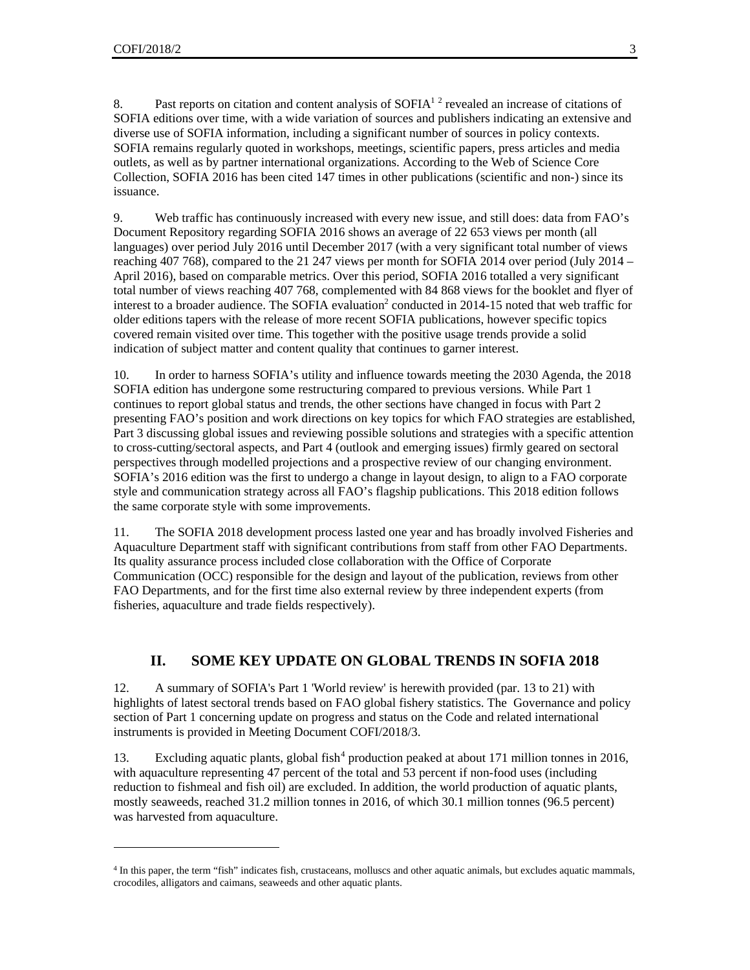l

8. Past reports on citation and content analysis of  $SOFIA<sup>12</sup>$  revealed an increase of citations of SOFIA editions over time, with a wide variation of sources and publishers indicating an extensive and diverse use of SOFIA information, including a significant number of sources in policy contexts. SOFIA remains regularly quoted in workshops, meetings, scientific papers, press articles and media outlets, as well as by partner international organizations. According to the Web of Science Core Collection, SOFIA 2016 has been cited 147 times in other publications (scientific and non-) since its issuance.

9. Web traffic has continuously increased with every new issue, and still does: data from FAO's Document Repository regarding SOFIA 2016 shows an average of 22 653 views per month (all languages) over period July 2016 until December 2017 (with a very significant total number of views reaching 407 768), compared to the 21 247 views per month for SOFIA 2014 over period (July 2014 – April 2016), based on comparable metrics. Over this period, SOFIA 2016 totalled a very significant total number of views reaching 407 768, complemented with 84 868 views for the booklet and flyer of interest to a broader audience. The SOFIA evaluation<sup>2</sup> conducted in 2014-15 noted that web traffic for older editions tapers with the release of more recent SOFIA publications, however specific topics covered remain visited over time. This together with the positive usage trends provide a solid indication of subject matter and content quality that continues to garner interest.

10. In order to harness SOFIA's utility and influence towards meeting the 2030 Agenda, the 2018 SOFIA edition has undergone some restructuring compared to previous versions. While Part 1 continues to report global status and trends, the other sections have changed in focus with Part 2 presenting FAO's position and work directions on key topics for which FAO strategies are established, Part 3 discussing global issues and reviewing possible solutions and strategies with a specific attention to cross-cutting/sectoral aspects, and Part 4 (outlook and emerging issues) firmly geared on sectoral perspectives through modelled projections and a prospective review of our changing environment. SOFIA's 2016 edition was the first to undergo a change in layout design, to align to a FAO corporate style and communication strategy across all FAO's flagship publications. This 2018 edition follows the same corporate style with some improvements.

11. The SOFIA 2018 development process lasted one year and has broadly involved Fisheries and Aquaculture Department staff with significant contributions from staff from other FAO Departments. Its quality assurance process included close collaboration with the Office of Corporate Communication (OCC) responsible for the design and layout of the publication, reviews from other FAO Departments, and for the first time also external review by three independent experts (from fisheries, aquaculture and trade fields respectively).

#### **II. SOME KEY UPDATE ON GLOBAL TRENDS IN SOFIA 2018**

12. A summary of SOFIA's Part 1 'World review' is herewith provided (par. 13 to 21) with highlights of latest sectoral trends based on FAO global fishery statistics. The Governance and policy section of Part 1 concerning update on progress and status on the Code and related international instruments is provided in Meeting Document COFI/2018/3.

13. Excluding aquatic plants, global fish<sup>4</sup> production peaked at about 171 million tonnes in 2016, with aquaculture representing 47 percent of the total and 53 percent if non-food uses (including reduction to fishmeal and fish oil) are excluded. In addition, the world production of aquatic plants, mostly seaweeds, reached 31.2 million tonnes in 2016, of which 30.1 million tonnes (96.5 percent) was harvested from aquaculture.

<sup>4</sup> In this paper, the term "fish" indicates fish, crustaceans, molluscs and other aquatic animals, but excludes aquatic mammals, crocodiles, alligators and caimans, seaweeds and other aquatic plants.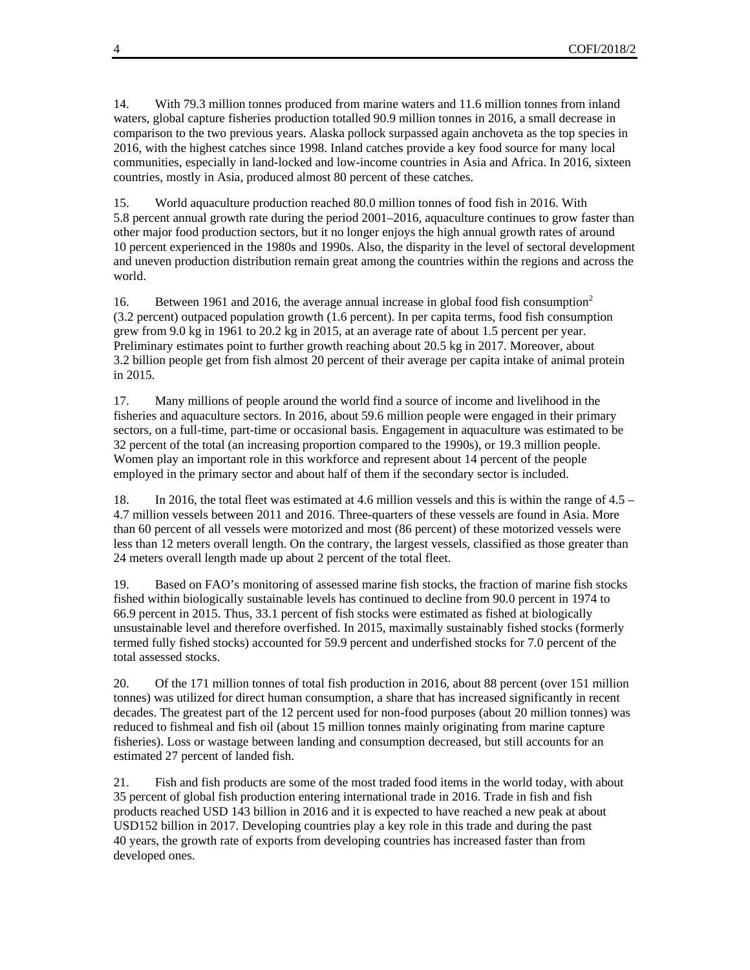14. With 79.3 million tonnes produced from marine waters and 11.6 million tonnes from inland waters, global capture fisheries production totalled 90.9 million tonnes in 2016, a small decrease in comparison to the two previous years. Alaska pollock surpassed again anchoveta as the top species in 2016, with the highest catches since 1998. Inland catches provide a key food source for many local communities, especially in land-locked and low-income countries in Asia and Africa. In 2016, sixteen countries, mostly in Asia, produced almost 80 percent of these catches.

15. World aquaculture production reached 80.0 million tonnes of food fish in 2016. With 5.8 percent annual growth rate during the period 2001–2016, aquaculture continues to grow faster than other major food production sectors, but it no longer enjoys the high annual growth rates of around 10 percent experienced in the 1980s and 1990s. Also, the disparity in the level of sectoral development and uneven production distribution remain great among the countries within the regions and across the world.

16. Between 1961 and 2016, the average annual increase in global food fish consumption<sup>2</sup> (3.2 percent) outpaced population growth (1.6 percent). In per capita terms, food fish consumption grew from 9.0 kg in 1961 to 20.2 kg in 2015, at an average rate of about 1.5 percent per year. Preliminary estimates point to further growth reaching about 20.5 kg in 2017. Moreover, about 3.2 billion people get from fish almost 20 percent of their average per capita intake of animal protein in 2015.

17. Many millions of people around the world find a source of income and livelihood in the fisheries and aquaculture sectors. In 2016, about 59.6 million people were engaged in their primary sectors, on a full-time, part-time or occasional basis. Engagement in aquaculture was estimated to be 32 percent of the total (an increasing proportion compared to the 1990s), or 19.3 million people. Women play an important role in this workforce and represent about 14 percent of the people employed in the primary sector and about half of them if the secondary sector is included.

18. In 2016, the total fleet was estimated at 4.6 million vessels and this is within the range of 4.5 – 4.7 million vessels between 2011 and 2016. Three-quarters of these vessels are found in Asia. More than 60 percent of all vessels were motorized and most (86 percent) of these motorized vessels were less than 12 meters overall length. On the contrary, the largest vessels, classified as those greater than 24 meters overall length made up about 2 percent of the total fleet.

19. Based on FAO's monitoring of assessed marine fish stocks, the fraction of marine fish stocks fished within biologically sustainable levels has continued to decline from 90.0 percent in 1974 to 66.9 percent in 2015. Thus, 33.1 percent of fish stocks were estimated as fished at biologically unsustainable level and therefore overfished. In 2015, maximally sustainably fished stocks (formerly termed fully fished stocks) accounted for 59.9 percent and underfished stocks for 7.0 percent of the total assessed stocks.

20. Of the 171 million tonnes of total fish production in 2016, about 88 percent (over 151 million tonnes) was utilized for direct human consumption, a share that has increased significantly in recent decades. The greatest part of the 12 percent used for non-food purposes (about 20 million tonnes) was reduced to fishmeal and fish oil (about 15 million tonnes mainly originating from marine capture fisheries). Loss or wastage between landing and consumption decreased, but still accounts for an estimated 27 percent of landed fish.

21. Fish and fish products are some of the most traded food items in the world today, with about 35 percent of global fish production entering international trade in 2016. Trade in fish and fish products reached USD 143 billion in 2016 and it is expected to have reached a new peak at about USD152 billion in 2017. Developing countries play a key role in this trade and during the past 40 years, the growth rate of exports from developing countries has increased faster than from developed ones.